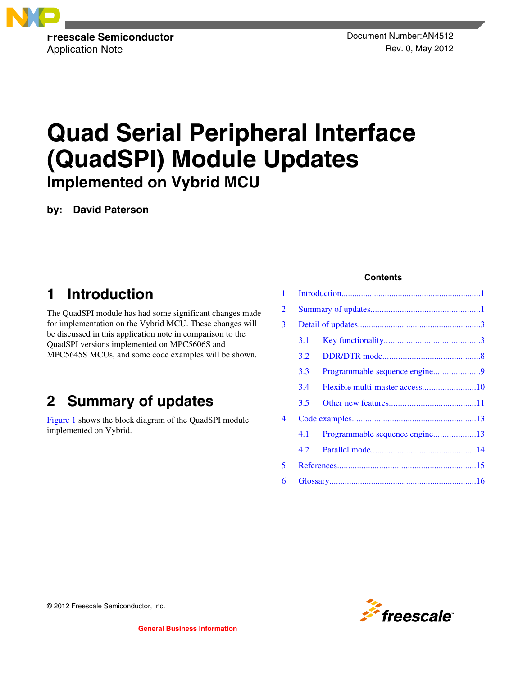<span id="page-0-0"></span>

# **Quad Serial Peripheral Interface (QuadSPI) Module Updates Implemented on Vybrid MCU**

**by: David Paterson**

## **1 Introduction**

The QuadSPI module has had some significant changes made for implementation on the Vybrid MCU. These changes will be discussed in this application note in comparison to the QuadSPI versions implemented on MPC5606S and MPC5645S MCUs, and some code examples will be shown.

## **2 Summary of updates**

[Figure 1](#page-1-0) shows the block diagram of the QuadSPI module implemented on Vybrid.

#### **Contents**

| 1 |         |                                |  |
|---|---------|--------------------------------|--|
| 2 |         |                                |  |
| 3 |         |                                |  |
|   | 3.1     |                                |  |
|   | 3.2     |                                |  |
|   | $3.3 -$ |                                |  |
|   | 3.4     |                                |  |
|   | 3.5     |                                |  |
| 4 |         |                                |  |
|   | 4.1     | Programmable sequence engine13 |  |
|   | 4.2     |                                |  |
| 5 |         |                                |  |
| 6 |         |                                |  |



© 2012 Freescale Semiconductor, Inc.

**General Business Information**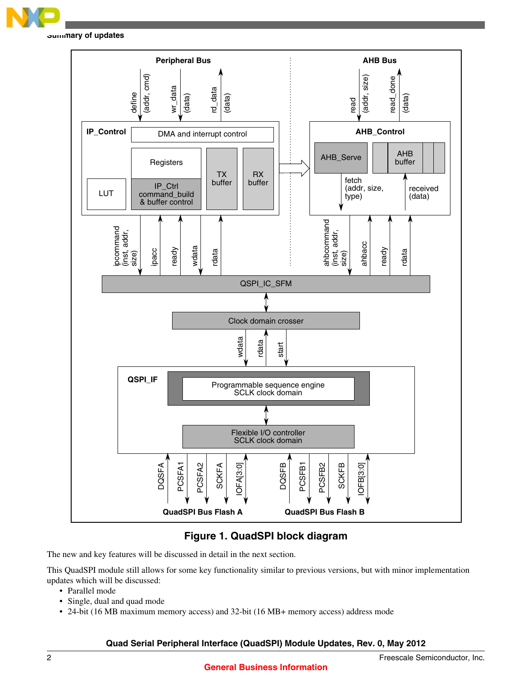<span id="page-1-0"></span>

**Summary of updates**



**Figure 1. QuadSPI block diagram**

The new and key features will be discussed in detail in the next section.

This QuadSPI module still allows for some key functionality similar to previous versions, but with minor implementation updates which will be discussed:

- Parallel mode
- Single, dual and quad mode
- 24-bit (16 MB maximum memory access) and 32-bit (16 MB+ memory access) address mode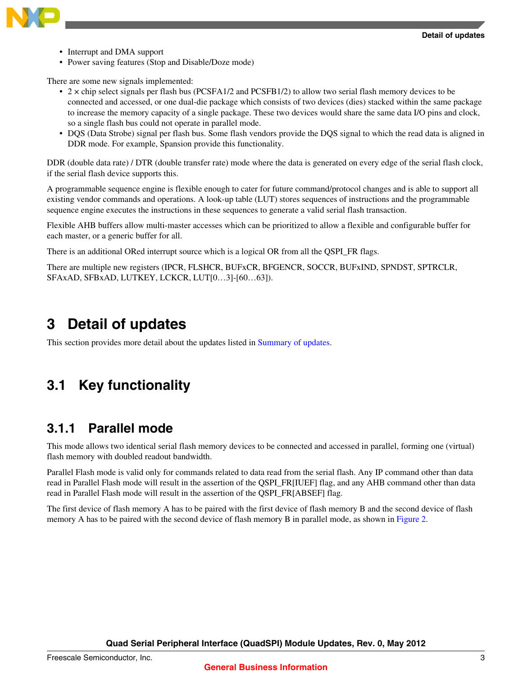<span id="page-2-0"></span>

- Interrupt and DMA support
- Power saving features (Stop and Disable/Doze mode)

There are some new signals implemented:

- 2 × chip select signals per flash bus (PCSFA1/2 and PCSFB1/2) to allow two serial flash memory devices to be connected and accessed, or one dual-die package which consists of two devices (dies) stacked within the same package to increase the memory capacity of a single package. These two devices would share the same data I/O pins and clock, so a single flash bus could not operate in parallel mode.
- DQS (Data Strobe) signal per flash bus. Some flash vendors provide the DQS signal to which the read data is aligned in DDR mode. For example, Spansion provide this functionality.

DDR (double data rate) / DTR (double transfer rate) mode where the data is generated on every edge of the serial flash clock, if the serial flash device supports this.

A programmable sequence engine is flexible enough to cater for future command/protocol changes and is able to support all existing vendor commands and operations. A look-up table (LUT) stores sequences of instructions and the programmable sequence engine executes the instructions in these sequences to generate a valid serial flash transaction.

Flexible AHB buffers allow multi-master accesses which can be prioritized to allow a flexible and configurable buffer for each master, or a generic buffer for all.

There is an additional ORed interrupt source which is a logical OR from all the QSPI\_FR flags.

There are multiple new registers (IPCR, FLSHCR, BUFxCR, BFGENCR, SOCCR, BUFxIND, SPNDST, SPTRCLR, SFAxAD, SFBxAD, LUTKEY, LCKCR, LUT[0…3]-[60…63]).

## **3 Detail of updates**

This section provides more detail about the updates listed in [Summary of updates.](#page-0-0)

## **3.1 Key functionality**

### **3.1.1 Parallel mode**

This mode allows two identical serial flash memory devices to be connected and accessed in parallel, forming one (virtual) flash memory with doubled readout bandwidth.

Parallel Flash mode is valid only for commands related to data read from the serial flash. Any IP command other than data read in Parallel Flash mode will result in the assertion of the QSPI\_FR[IUEF] flag, and any AHB command other than data read in Parallel Flash mode will result in the assertion of the QSPI\_FR[ABSEF] flag.

The first device of flash memory A has to be paired with the first device of flash memory B and the second device of flash memory A has to be paired with the second device of flash memory B in parallel mode, as shown in [Figure 2](#page-3-0).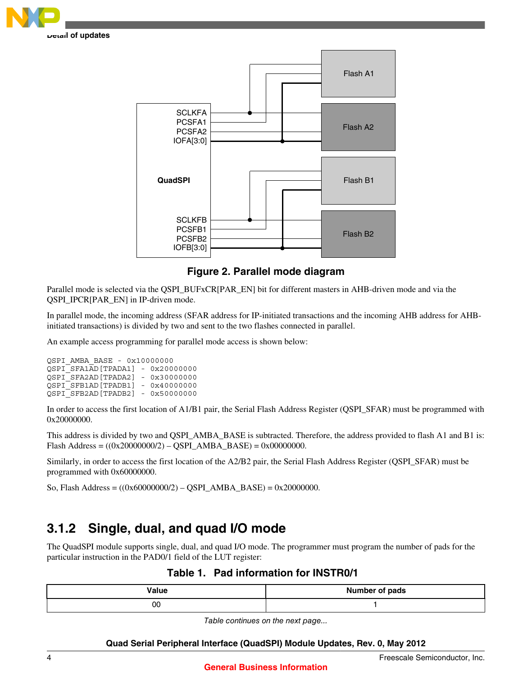<span id="page-3-0"></span>



### **Figure 2. Parallel mode diagram**

Parallel mode is selected via the QSPI\_BUFxCR[PAR\_EN] bit for different masters in AHB-driven mode and via the QSPI\_IPCR[PAR\_EN] in IP-driven mode.

In parallel mode, the incoming address (SFAR address for IP-initiated transactions and the incoming AHB address for AHBinitiated transactions) is divided by two and sent to the two flashes connected in parallel.

An example access programming for parallel mode access is shown below:

```
QSPI_AMBA_BASE - 0x10000000
QSPI_SFA1AD[TPADA1] - 0x20000000
QSPI_SFA2AD[TPADA2] - 0x30000000
QSPI_SFB1AD[TPADB1] - 0x40000000
QSPI_SFB2AD[TPADB2] - 0x50000000
```
In order to access the first location of A1/B1 pair, the Serial Flash Address Register (QSPI\_SFAR) must be programmed with 0x20000000.

This address is divided by two and QSPI\_AMBA\_BASE is subtracted. Therefore, the address provided to flash A1 and B1 is: Flash Address =  $((0x20000000/2) - QSPI\_AMBA_BASE) = 0x00000000$ .

Similarly, in order to access the first location of the A2/B2 pair, the Serial Flash Address Register (QSPI\_SFAR) must be programmed with 0x60000000.

So, Flash Address = ((0x60000000/2) – QSPI\_AMBA\_BASE) = 0x20000000.

### **3.1.2 Single, dual, and quad I/O mode**

The QuadSPI module supports single, dual, and quad I/O mode. The programmer must program the number of pads for the particular instruction in the PAD0/1 field of the LUT register:

| Value | <b>Number of pads</b> |
|-------|-----------------------|
| 00    |                       |

*Table continues on the next page...*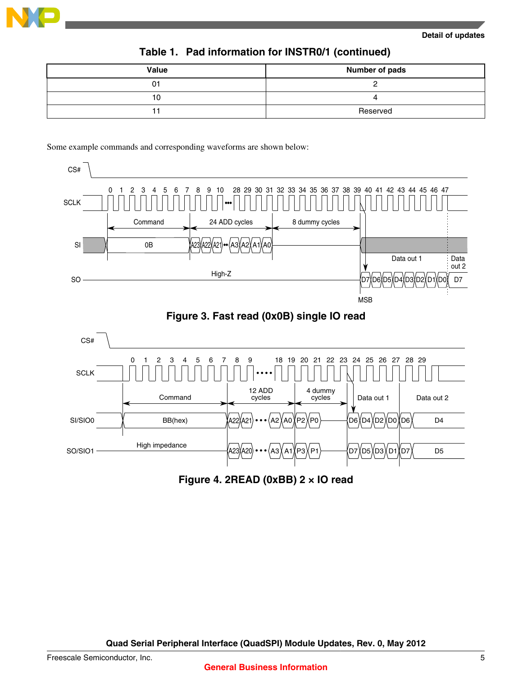

| Value | <b>Number of pads</b> |
|-------|-----------------------|
| 01    |                       |
| 10    |                       |
|       | Reserved              |

### **Table 1. Pad information for INSTR0/1 (continued)**

Some example commands and corresponding waveforms are shown below:



**Figure 4. 2READ (0xBB) 2 × IO read**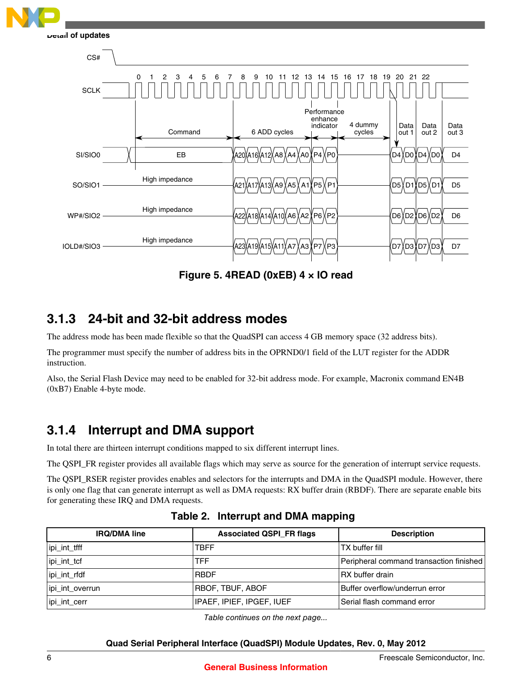

**Figure 5. 4READ (0xEB) 4 × IO read**

### **3.1.3 24-bit and 32-bit address modes**

The address mode has been made flexible so that the QuadSPI can access 4 GB memory space (32 address bits).

The programmer must specify the number of address bits in the OPRND0/1 field of the LUT register for the ADDR instruction.

Also, the Serial Flash Device may need to be enabled for 32-bit address mode. For example, Macronix command EN4B (0xB7) Enable 4-byte mode.

### **3.1.4 Interrupt and DMA support**

In total there are thirteen interrupt conditions mapped to six different interrupt lines.

The QSPI\_FR register provides all available flags which may serve as source for the generation of interrupt service requests.

The QSPI\_RSER register provides enables and selectors for the interrupts and DMA in the QuadSPI module. However, there is only one flag that can generate interrupt as well as DMA requests: RX buffer drain (RBDF). There are separate enable bits for generating these IRQ and DMA requests.

| <b>IRQ/DMA line</b> | <b>Associated QSPI_FR flags</b> | <b>Description</b>                      |
|---------------------|---------------------------------|-----------------------------------------|
| ipi_int_tfff        | TBFF                            | TX buffer fill                          |
| ipi_int_tcf         | TFF                             | Peripheral command transaction finished |
| ipi_int_rfdf        | <b>RBDF</b>                     | RX buffer drain                         |
| ipi_int_overrun     | <b>RBOF, TBUF, ABOF</b>         | Buffer overflow/underrun error          |
| ipi_int_cerr        | IPAEF, IPIEF, IPGEF, IUEF       | Serial flash command error              |

**Table 2. Interrupt and DMA mapping**

*Table continues on the next page...*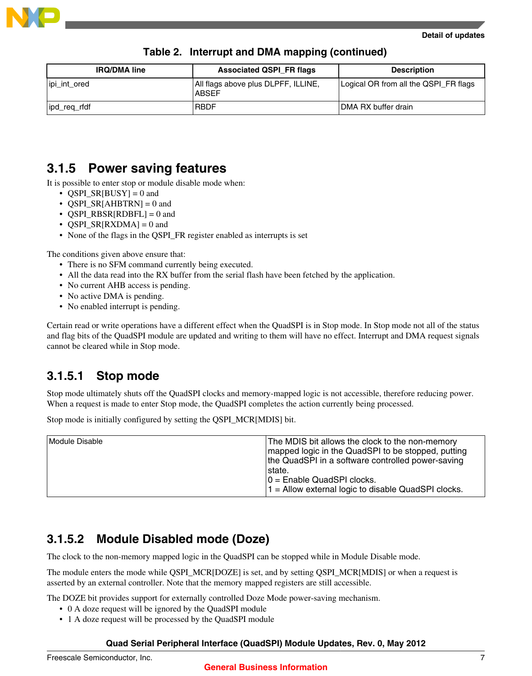

| <b>IRQ/DMA line</b> | <b>Associated QSPI FR flags</b>                     | <b>Description</b>                    |
|---------------------|-----------------------------------------------------|---------------------------------------|
| ipi_int_ored        | All flags above plus DLPFF, ILLINE,<br><b>ABSEF</b> | Logical OR from all the QSPI_FR flags |
| ipd_req_rfdf        | <b>RBDF</b>                                         | DMA RX buffer drain                   |

### **Table 2. Interrupt and DMA mapping (continued)**

### **3.1.5 Power saving features**

It is possible to enter stop or module disable mode when:

- QSPI\_SR[BUSY] = 0 and
- QSPI\_SR[AHBTRN] = 0 and
- QSPI\_RBSR[RDBFL] = 0 and
- QSPI\_SR[RXDMA] = 0 and
- None of the flags in the QSPI\_FR register enabled as interrupts is set

The conditions given above ensure that:

- There is no SFM command currently being executed.
- All the data read into the RX buffer from the serial flash have been fetched by the application.
- No current AHB access is pending.
- No active DMA is pending.
- No enabled interrupt is pending.

Certain read or write operations have a different effect when the QuadSPI is in Stop mode. In Stop mode not all of the status and flag bits of the QuadSPI module are updated and writing to them will have no effect. Interrupt and DMA request signals cannot be cleared while in Stop mode.

### **3.1.5.1 Stop mode**

Stop mode ultimately shuts off the QuadSPI clocks and memory-mapped logic is not accessible, therefore reducing power. When a request is made to enter Stop mode, the QuadSPI completes the action currently being processed.

Stop mode is initially configured by setting the QSPI\_MCR[MDIS] bit.

| Module Disable | The MDIS bit allows the clock to the non-memory<br>mapped logic in the QuadSPI to be stopped, putting<br>the QuadSPI in a software controlled power-saving<br>⊺state.<br>$0 =$ Enable QuadSPI clocks. |
|----------------|-------------------------------------------------------------------------------------------------------------------------------------------------------------------------------------------------------|
|                | $1 =$ Allow external logic to disable QuadSPI clocks.                                                                                                                                                 |

### **3.1.5.2 Module Disabled mode (Doze)**

The clock to the non-memory mapped logic in the QuadSPI can be stopped while in Module Disable mode.

The module enters the mode while QSPI\_MCR[DOZE] is set, and by setting QSPI\_MCR[MDIS] or when a request is asserted by an external controller. Note that the memory mapped registers are still accessible.

The DOZE bit provides support for externally controlled Doze Mode power-saving mechanism.

- 0 A doze request will be ignored by the QuadSPI module
- 1 A doze request will be processed by the QuadSPI module

#### **Quad Serial Peripheral Interface (QuadSPI) Module Updates, Rev. 0, May 2012**

#### **General Business Information**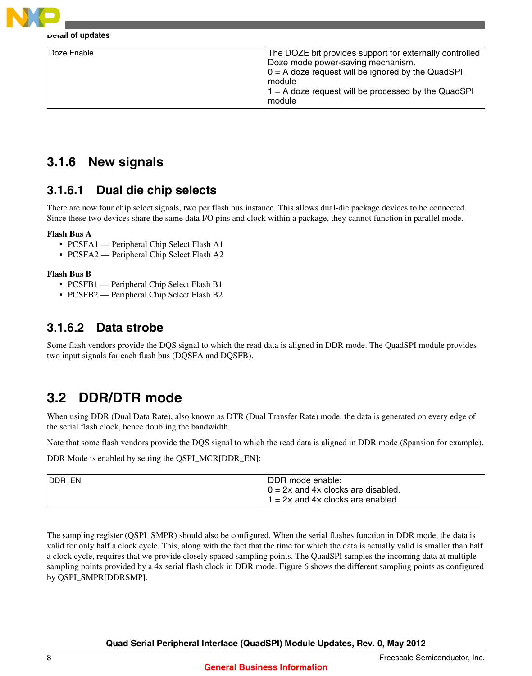<span id="page-7-0"></span>

| Doze Enable | The DOZE bit provides support for externally controlled<br>Doze mode power-saving mechanism.<br>$0 = A$ doze request will be ignored by the QuadSPI<br>l module<br>$1 = A$ doze request will be processed by the QuadSPI<br>module |
|-------------|------------------------------------------------------------------------------------------------------------------------------------------------------------------------------------------------------------------------------------|
|-------------|------------------------------------------------------------------------------------------------------------------------------------------------------------------------------------------------------------------------------------|

### **3.1.6 New signals**

### **3.1.6.1 Dual die chip selects**

There are now four chip select signals, two per flash bus instance. This allows dual-die package devices to be connected. Since these two devices share the same data I/O pins and clock within a package, they cannot function in parallel mode.

#### **Flash Bus A**

- PCSFA1 Peripheral Chip Select Flash A1
- PCSFA2 Peripheral Chip Select Flash A2

#### **Flash Bus B**

- PCSFB1 Peripheral Chip Select Flash B1
- PCSFB2 Peripheral Chip Select Flash B2

### **3.1.6.2 Data strobe**

Some flash vendors provide the DQS signal to which the read data is aligned in DDR mode. The QuadSPI module provides two input signals for each flash bus (DQSFA and DQSFB).

## **3.2 DDR/DTR mode**

When using DDR (Dual Data Rate), also known as DTR (Dual Transfer Rate) mode, the data is generated on every edge of the serial flash clock, hence doubling the bandwidth.

Note that some flash vendors provide the DQS signal to which the read data is aligned in DDR mode (Spansion for example).

DDR Mode is enabled by setting the QSPI\_MCR[DDR\_EN]:

| <b>IDDR EN</b> | <b>IDDR</b> mode enable:                                                                                |
|----------------|---------------------------------------------------------------------------------------------------------|
|                | $0 = 2 \times$ and $4 \times$ clocks are disabled.<br>$1 = 2 \times$ and $4 \times$ clocks are enabled. |
|                |                                                                                                         |

The sampling register (QSPI\_SMPR) should also be configured. When the serial flashes function in DDR mode, the data is valid for only half a clock cycle. This, along with the fact that the time for which the data is actually valid is smaller than half a clock cycle, requires that we provide closely spaced sampling points. The QuadSPI samples the incoming data at multiple sampling points provided by a 4x serial flash clock in DDR mode. Figure 6 shows the different sampling points as configured by QSPI\_SMPR[DDRSMP].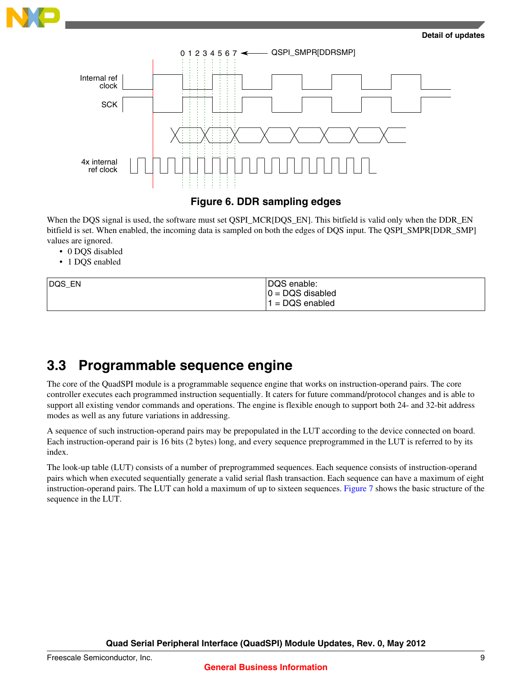<span id="page-8-0"></span>



### **Figure 6. DDR sampling edges**

When the DQS signal is used, the software must set QSPI\_MCR[DQS\_EN]. This bitfield is valid only when the DDR\_EN bitfield is set. When enabled, the incoming data is sampled on both the edges of DQS input. The QSPI\_SMPR[DDR\_SMP] values are ignored.

- 0 DQS disabled
- 1 DQS enabled

| DQS_EN | DQS enable:         |  |
|--------|---------------------|--|
|        | $ 0 =$ DQS disabled |  |
|        | $1 = DQS$ enabled   |  |

### **3.3 Programmable sequence engine**

The core of the QuadSPI module is a programmable sequence engine that works on instruction-operand pairs. The core controller executes each programmed instruction sequentially. It caters for future command/protocol changes and is able to support all existing vendor commands and operations. The engine is flexible enough to support both 24- and 32-bit address modes as well as any future variations in addressing.

A sequence of such instruction-operand pairs may be prepopulated in the LUT according to the device connected on board. Each instruction-operand pair is 16 bits (2 bytes) long, and every sequence preprogrammed in the LUT is referred to by its index.

The look-up table (LUT) consists of a number of preprogrammed sequences. Each sequence consists of instruction-operand pairs which when executed sequentially generate a valid serial flash transaction. Each sequence can have a maximum of eight instruction-operand pairs. The LUT can hold a maximum of up to sixteen sequences. [Figure 7](#page-9-0) shows the basic structure of the sequence in the LUT.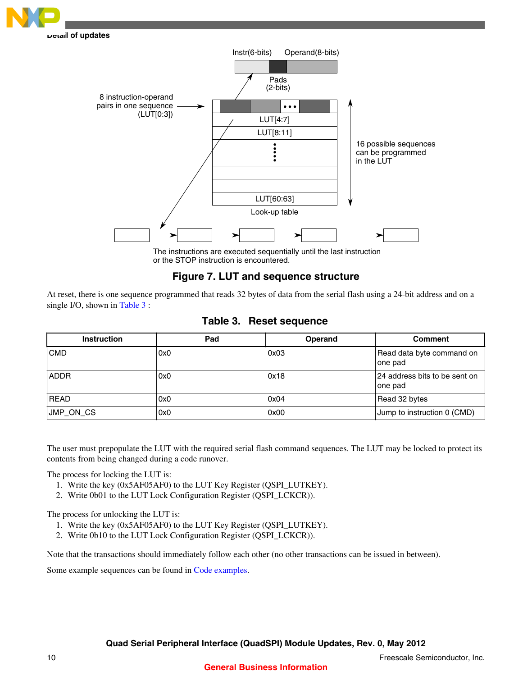<span id="page-9-0"></span>



or the STOP instruction is encountered.

#### **Figure 7. LUT and sequence structure**

At reset, there is one sequence programmed that reads 32 bytes of data from the serial flash using a 24-bit address and on a single I/O, shown in Table 3 :

| <b>Instruction</b> | Pad | Operand | <b>Comment</b>                            |
|--------------------|-----|---------|-------------------------------------------|
| <b>CMD</b>         | 0x0 | 0x03    | Read data byte command on<br>one pad      |
| <b>ADDR</b>        | 0x0 | 0x18    | 24 address bits to be sent on<br>∣one pad |
| <b>READ</b>        | 0x0 | 0x04    | Read 32 bytes                             |
| JMP_ON_CS          | 0x0 | 0x00    | Jump to instruction 0 (CMD)               |

The user must prepopulate the LUT with the required serial flash command sequences. The LUT may be locked to protect its contents from being changed during a code runover.

The process for locking the LUT is:

- 1. Write the key (0x5AF05AF0) to the LUT Key Register (QSPI\_LUTKEY).
- 2. Write 0b01 to the LUT Lock Configuration Register (QSPI\_LCKCR)).

The process for unlocking the LUT is:

- 1. Write the key (0x5AF05AF0) to the LUT Key Register (QSPI\_LUTKEY).
- 2. Write 0b10 to the LUT Lock Configuration Register (QSPI\_LCKCR)).

Note that the transactions should immediately follow each other (no other transactions can be issued in between).

Some example sequences can be found in [Code examples.](#page-12-0)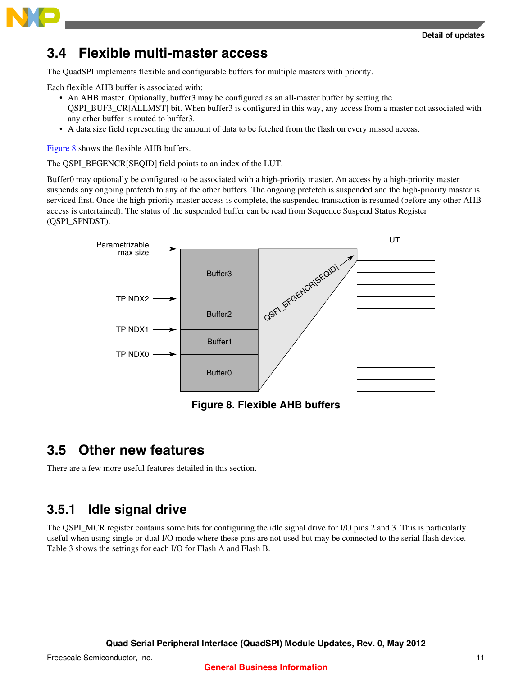<span id="page-10-0"></span>

## **3.4 Flexible multi-master access**

The QuadSPI implements flexible and configurable buffers for multiple masters with priority.

Each flexible AHB buffer is associated with:

- An AHB master. Optionally, buffer3 may be configured as an all-master buffer by setting the QSPI\_BUF3\_CR[ALLMST] bit. When buffer3 is configured in this way, any access from a master not associated with any other buffer is routed to buffer3.
- A data size field representing the amount of data to be fetched from the flash on every missed access.

Figure 8 shows the flexible AHB buffers.

The QSPI\_BFGENCR[SEQID] field points to an index of the LUT.

Buffer0 may optionally be configured to be associated with a high-priority master. An access by a high-priority master suspends any ongoing prefetch to any of the other buffers. The ongoing prefetch is suspended and the high-priority master is serviced first. Once the high-priority master access is complete, the suspended transaction is resumed (before any other AHB access is entertained). The status of the suspended buffer can be read from Sequence Suspend Status Register (QSPI\_SPNDST).



**Figure 8. Flexible AHB buffers**

## **3.5 Other new features**

There are a few more useful features detailed in this section.

### **3.5.1 Idle signal drive**

The QSPI\_MCR register contains some bits for configuring the idle signal drive for I/O pins 2 and 3. This is particularly useful when using single or dual I/O mode where these pins are not used but may be connected to the serial flash device. Table 3 shows the settings for each I/O for Flash A and Flash B.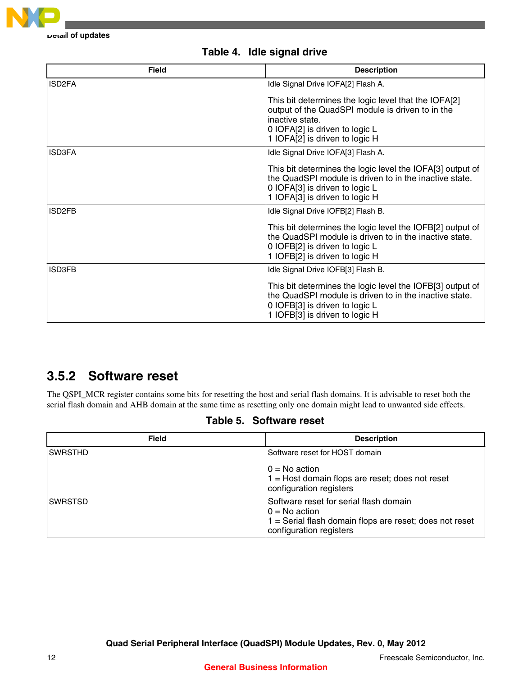

| <b>Field</b>        | <b>Description</b>                                                                                                                                                                              |
|---------------------|-------------------------------------------------------------------------------------------------------------------------------------------------------------------------------------------------|
| ISD <sub>2</sub> FA | Idle Signal Drive IOFA[2] Flash A.                                                                                                                                                              |
|                     | This bit determines the logic level that the IOFA[2]<br>output of the QuadSPI module is driven to in the<br>inactive state.<br>0 IOFA[2] is driven to logic L<br>1 IOFA[2] is driven to logic H |
| <b>ISD3FA</b>       | Idle Signal Drive IOFA[3] Flash A.                                                                                                                                                              |
|                     | This bit determines the logic level the IOFA[3] output of<br>the QuadSPI module is driven to in the inactive state.<br>0 IOFA[3] is driven to logic L<br>1 IOFA[3] is driven to logic H         |
| ISD <sub>2</sub> FB | Idle Signal Drive IOFB[2] Flash B.                                                                                                                                                              |
|                     | This bit determines the logic level the IOFB[2] output of<br>the QuadSPI module is driven to in the inactive state.<br>0 IOFB[2] is driven to logic L<br>1 IOFB[2] is driven to logic H         |
| <b>ISD3FB</b>       | Idle Signal Drive IOFB[3] Flash B.                                                                                                                                                              |
|                     | This bit determines the logic level the IOFB[3] output of<br>the QuadSPI module is driven to in the inactive state.<br>0 IOFB[3] is driven to logic L<br>1 IOFB[3] is driven to logic H         |

### **Table 4. Idle signal drive**

### **3.5.2 Software reset**

The QSPI\_MCR register contains some bits for resetting the host and serial flash domains. It is advisable to reset both the serial flash domain and AHB domain at the same time as resetting only one domain might lead to unwanted side effects.

| <b>Field</b>   | <b>Description</b>                                                                                                                              |
|----------------|-------------------------------------------------------------------------------------------------------------------------------------------------|
| <b>SWRSTHD</b> | Software reset for HOST domain                                                                                                                  |
|                | $0 = No$ action<br>$1 =$ Host domain flops are reset; does not reset<br>configuration registers                                                 |
| <b>SWRSTSD</b> | Software reset for serial flash domain<br>$0 = No$ action<br>1 = Serial flash domain flops are reset; does not reset<br>configuration registers |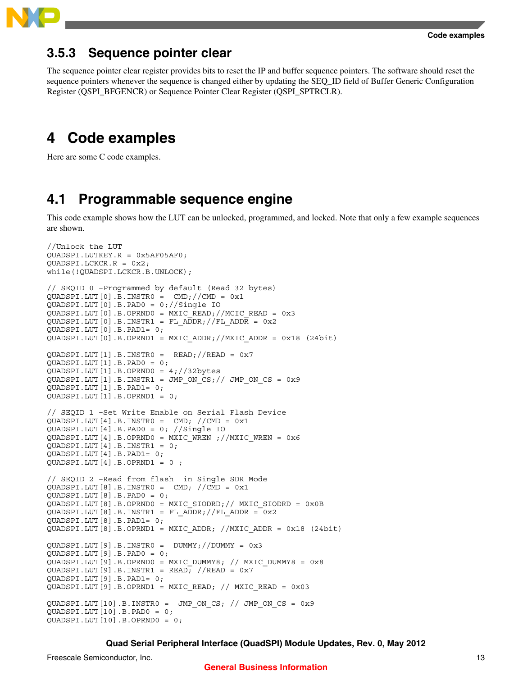<span id="page-12-0"></span>

### **3.5.3 Sequence pointer clear**

The sequence pointer clear register provides bits to reset the IP and buffer sequence pointers. The software should reset the sequence pointers whenever the sequence is changed either by updating the SEQ\_ID field of Buffer Generic Configuration Register (QSPI\_BFGENCR) or Sequence Pointer Clear Register (QSPI\_SPTRCLR).

## **4 Code examples**

Here are some C code examples.

### **4.1 Programmable sequence engine**

This code example shows how the LUT can be unlocked, programmed, and locked. Note that only a few example sequences are shown.

```
//Unlock the LUT
QUADSPI.LUTKEY.R = 0x5AF05AF0;
QUADSPI.LCKCR.R = 0x2;
while(!QUADSPI.LCKCR.B.UNLOCK);
// SEQID 0 –Programmed by default (Read 32 bytes)
QUADSPI.LUT[0].B.INSTRO = CMD://CMD = 0x1QUADSPI.LUT[0].B.PAD0 = 0;//Single IO
QUADSPI.LUT[0].B.OPRND0 = MXIC_READ;//MCIC_READ = 0x3
QUADSPI.LUT[0].B.INSTR1 = FLADDR://FLADDR = 0x2QUADSPI.LUT[0].B.PAD1= 0;
QUADSPI.LUT[0].B.OPRND1 = MXIC_ADDR;//MXIC_ADDR = 0x18 (24bit)
QUADSPI.LUT[1].B.INSTRO = READ://READ = 0x7QUADSPI.LUT[1].B.PAD0 = 0;
QUADSPI.LUT[1].B.OPRND0 = 4;//32bytes
QUADSPI.LUT[1].B.INSTR1 = JMP ON CS;// JMP ON CS = 0x9
QUADSPI.LUT[1].B.PAD1= 0;
QUADSPI.LUT[1].B.OPRND1 = 0;
// SEQID 1 –Set Write Enable on Serial Flash Device
QUADSPI.LUT[4].B.INSTRO = CMD; //CMD = 0x1QUADSPI.LUT[4].B.PAD0 = 0; //Single IO
QUADSPI.LUT[4].B.OPRND0 = MXIC_WREN ;//MXIC_WREN = 0x6
QUADSPI.LUT[4].B.INSTR1 = 0;
QUADSPI.LUT[4].B.PAD1= 0;
QUADSPI.LUT[4].B.OPRND1 = 0 ;
// SEQID 2 –Read from flash in Single SDR Mode
QUADSPI.LUT[8].B.INSTRO = CMD; //CMD = 0x1QUADSPI.LUT[8].B.PAD0 = 0;
QUADSPI.LUT[8].B.OPRNDO = MXIC SIODRD; // MXIC SIODRD = 0x0B\overline{Q}UADSPI.LUT[8].B.INSTR1 = FL_ADDR;//FL_ADDR = 0x2
QUADSPI.LUT[8].B.PAD1= 0;
QUADSPI.LUT[8].B.OPRND1 = MXIC ADDR; //MXIC ADDR = 0x18 (24bit)
QUADSPI.LUT[9].B.INSTR0 = DUMMY;//DUMMY = 0x3
QUADSPI.LUT[9].B.PAD0 = 0;
QUADSPI.LUT[9].B.OPRND0 = MXIC_DUMMY8; // MXIC_DUMMY8 = 0x8
QUADSPI.LUT[9].B.INSTR1 = READ; //READ = 0x7
QUADSPI.LUT[9].B.PAD1= 0;
QUADSPI.LUT[9].B.OPRND1 = MXIC READ; // MXIC READ = 0x03QUADSPI.LUT[10].B.INSTR0 = JMP_ON_CS; // JMP_ON_CS = 0x9QUADSPI.LUT[10].B.PAD0 = 0;
QUADSPI.LUT[10].B.OPRND0 = 0;
```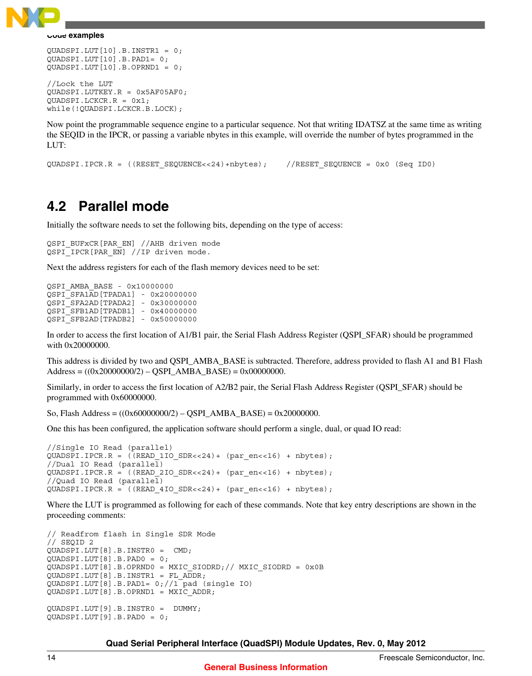<span id="page-13-0"></span>

```
QUADSPI.LUT[10].B.INSTR1 = 0;
QUADSPI.LUT[10].B.PAD1= 0;
QUADSPI.LUT[10].B.OPRND1 = 0;
//Lock the LUT
QUADSPI.LUTKEY.R = 0x5AF05AF0;
QUADSPI.LCKCR.R = 0x1;
while(!QUADSPI.LCKCR.B.LOCK);
```
Now point the programmable sequence engine to a particular sequence. Not that writing IDATSZ at the same time as writing the SEQID in the IPCR, or passing a variable nbytes in this example, will override the number of bytes programmed in the LUT:

QUADSPI.IPCR.R = ((RESET\_SEQUENCE<<24)+nbytes); //RESET\_SEQUENCE = 0x0 (Seq ID0)

### **4.2 Parallel mode**

Initially the software needs to set the following bits, depending on the type of access:

QSPI\_BUFxCR[PAR\_EN] //AHB driven mode QSPI IPCR[PAR EN] //IP driven mode.

Next the address registers for each of the flash memory devices need to be set:

| OSPI AMBA BASE - 0x10000000       |  |               |  |
|-----------------------------------|--|---------------|--|
| OSPI SFA1AD [TPADA1] - 0x20000000 |  |               |  |
| OSPI SFA2AD [TPADA2]              |  | $-0x30000000$ |  |
| OSPI SFB1AD [TPADB1]              |  | $-0x40000000$ |  |
| OSPI SFB2AD [TPADB2] - 0x50000000 |  |               |  |

In order to access the first location of A1/B1 pair, the Serial Flash Address Register (QSPI\_SFAR) should be programmed with 0x20000000.

This address is divided by two and QSPI\_AMBA\_BASE is subtracted. Therefore, address provided to flash A1 and B1 Flash  $Address = ((0x20000000/2) - QSPI\_AMBA_BASE) = 0x00000000.$ 

Similarly, in order to access the first location of A2/B2 pair, the Serial Flash Address Register (QSPI\_SFAR) should be programmed with 0x60000000.

So, Flash Address =  $((0x60000000/2) - QSPI_AMBA_BASE) = 0x20000000$ .

One this has been configured, the application software should perform a single, dual, or quad IO read:

```
//Single IO Read (parallel)
QUADSPI.IPCR.R = ((READ_1IO_SDR<<24)+ (par_en<<16) + nbytes);
//Dual IO Read (parallel)
QUADSPI.IPCR.R = ((READ_2IO_SDR<<24)+ (par_en<<16) + nbytes);
//Quad IO Read (parallel)
QUADSPI.IPCR.R = ((READ_4IO_SDR<<24)+ (par_en<<16) + nbytes);
```
Where the LUT is programmed as following for each of these commands. Note that key entry descriptions are shown in the proceeding comments:

```
// Readfrom flash in Single SDR Mode
// SEQID 2
QUADSPI.LUT[8].B.INSTR0 = CMD;
QUADSPI.LUT[8].B.PAD0 = 0;
QUADSPI.LUT[8].B.OPRND0 = MXIC_SIODRD;// MXIC_SIODRD = 0x0B
QUADSPI.LUT[8].B.INSTR1 = FL_ADDR;
QUADSPI.LUT[8].B.PAD1= 0;//1 pad (single IO)
QUADSPI.LUT[8].B.OPRND1 = MXIC_ADDR;
QUADSPI.LUT[9].B.INSTR0 = DUMMY;
QUADSPI.LUT[9].B.PAD0 = 0;
```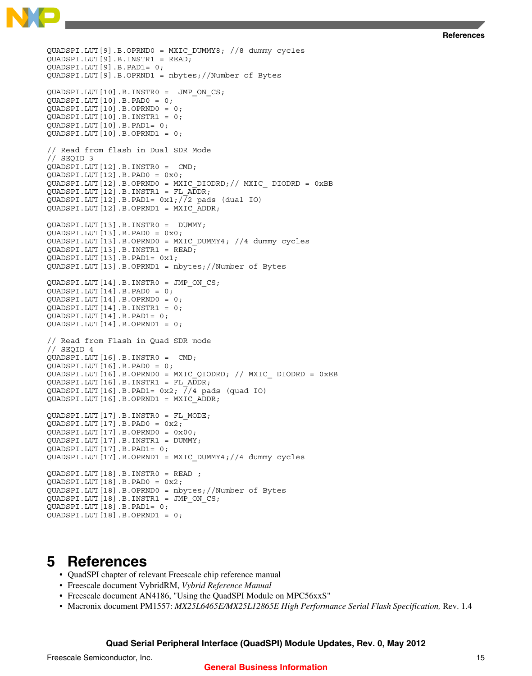```
References
```
<span id="page-14-0"></span>QUADSPI.LUT[9].B.OPRND0 = MXIC\_DUMMY8; //8 dummy cycles  $QUADSPI.LUT[9].B.INSTR1 = READ;$ QUADSPI.LUT[9].B.PAD1= 0; QUADSPI.LUT[9].B.OPRND1 = nbytes;//Number of Bytes QUADSPI.LUT[10].B.INSTR0 = JMP\_ON\_CS; QUADSPI.LUT[10].B.PAD0 = 0; QUADSPI.LUT[10].B.OPRND0 = 0; QUADSPI.LUT[10].B.INSTR1 = 0; QUADSPI.LUT[10].B.PAD1= 0; QUADSPI.LUT[10].B.OPRND1 = 0; // Read from flash in Dual SDR Mode // SEQID 3 QUADSPI.LUT[12].B.INSTR0 = CMD; QUADSPI.LUT[12].B.PAD0 = 0x0;  $QUADSPI.LUT[12].B.OPRNDO = MXIC DIODRD; // MXIC DIODRD = 0xBB$ QUADSPI.LUT[12].B.INSTR1 = FL\_ADDR; QUADSPI.LUT[12].B.PAD1= 0x1;//2 pads (dual IO) QUADSPI.LUT[12].B.OPRND1 = MXIC\_ADDR; QUADSPI.LUT[13].B.INSTR0 = DUMMY; QUADSPI.LUT[13].B.PAD0 = 0x0; QUADSPI.LUT[13].B.OPRND0 = MXIC\_DUMMY4; //4 dummy cycles QUADSPI.LUT[13].B.INSTR1 = READ; QUADSPI.LUT[13].B.PAD1= 0x1; QUADSPI.LUT[13].B.OPRND1 = nbytes;//Number of Bytes QUADSPI.LUT[14].B.INSTR0 = JMP\_ON\_CS; QUADSPI.LUT[14].B.PAD0 = 0; QUADSPI.LUT[14].B.OPRND0 = 0; QUADSPI.LUT[14].B.INSTR1 = 0; QUADSPI.LUT[14].B.PAD1= 0; QUADSPI.LUT[14].B.OPRND1 = 0; // Read from Flash in Quad SDR mode // SEQID 4 QUADSPI.LUT[16].B.INSTR0 = CMD; QUADSPI.LUT[16].B.PAD0 = 0; QUADSPI.LUT[16].B.OPRND0 = MXIC QIODRD; // MXIC DIODRD =  $0xEB$ QUADSPI.LUT[16].B.INSTR1 = FL\_ADDR; QUADSPI.LUT[16].B.PAD1=  $0x2$ ;  $\frac{7}{4}$  pads (quad IO) QUADSPI.LUT[16].B.OPRND1 = MXIC\_ADDR; QUADSPI.LUT[17].B.INSTR0 = FL\_MODE; QUADSPI.LUT[17].B.PAD0 = 0x2; QUADSPI.LUT[17].B.OPRND0 = 0x00; QUADSPI.LUT[17].B.INSTR1 = DUMMY; QUADSPI.LUT[17].B.PAD1= 0; QUADSPI.LUT[17].B.OPRND1 = MXIC\_DUMMY4;//4 dummy cycles QUADSPI.LUT[18].B.INSTR0 = READ ; QUADSPI.LUT[18].B.PAD0 = 0x2; QUADSPI.LUT[18].B.OPRND0 = nbytes;//Number of Bytes QUADSPI.LUT[18].B.INSTR1 = JMP\_ON\_CS; QUADSPI.LUT[18].B.PAD1= 0; QUADSPI.LUT[18].B.OPRND1 = 0;

### **5 References**

- QuadSPI chapter of relevant Freescale chip reference manual
- Freescale document VybridRM, *Vybrid Reference Manual*
- Freescale document AN4186, "Using the QuadSPI Module on MPC56xxS"
- Macronix document PM1557: *MX25L6465E/MX25L12865E High Performance Serial Flash Specification,* Rev. 1.4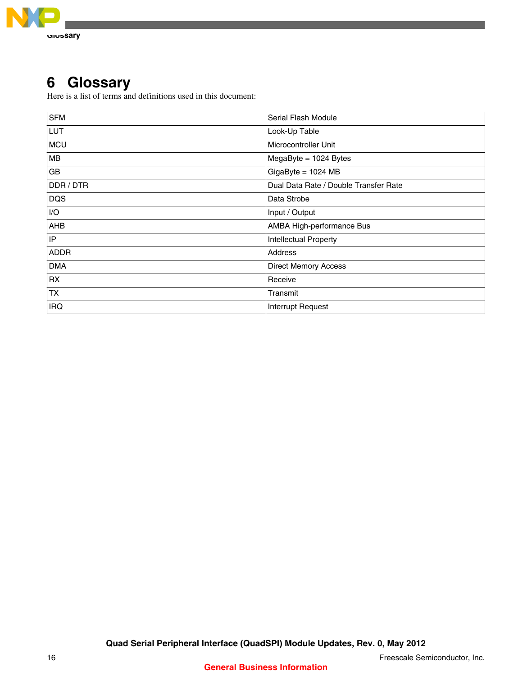<span id="page-15-0"></span>

## **6 Glossary**

Here is a list of terms and definitions used in this document:

| <b>SFM</b>  | Serial Flash Module                   |
|-------------|---------------------------------------|
| LUT         | Look-Up Table                         |
| <b>MCU</b>  | Microcontroller Unit                  |
| <b>MB</b>   | MegaByte = 1024 Bytes                 |
| GB          | $GigaByte = 1024 MB$                  |
| DDR / DTR   | Dual Data Rate / Double Transfer Rate |
| <b>DQS</b>  | Data Strobe                           |
| I/O         | Input / Output                        |
| <b>AHB</b>  | AMBA High-performance Bus             |
| IP          | <b>Intellectual Property</b>          |
| <b>ADDR</b> | Address                               |
| <b>DMA</b>  | <b>Direct Memory Access</b>           |
| <b>RX</b>   | Receive                               |
| <b>TX</b>   | Transmit                              |
| <b>IRQ</b>  | Interrupt Request                     |